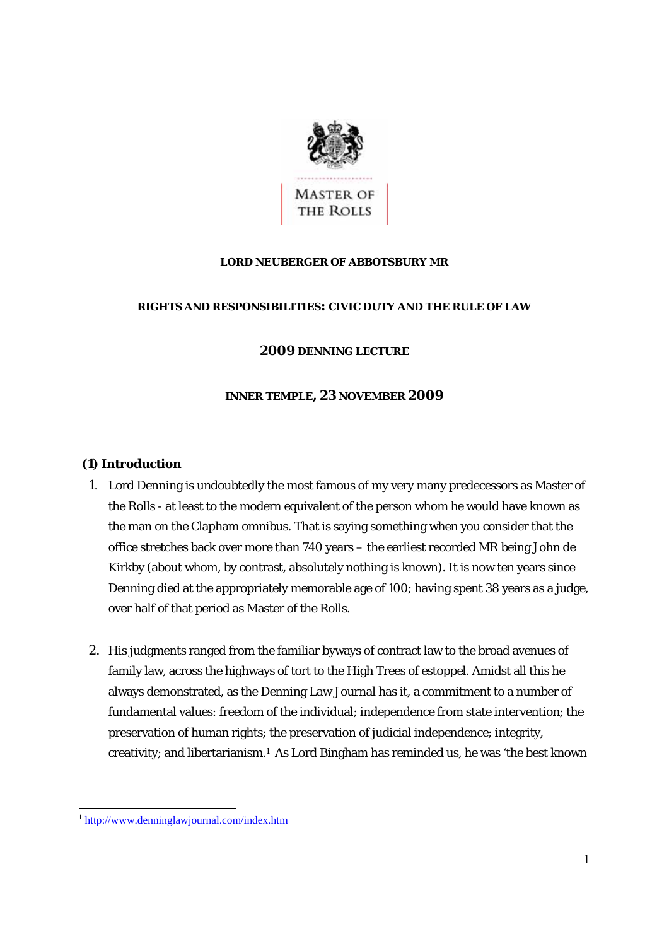

## **LORD NEUBERGER OF ABBOTSBURY MR**

## **RIGHTS AND RESPONSIBILITIES: CIVIC DUTY AND THE RULE OF LAW**

# **2009 DENNING LECTURE**

## **INNER TEMPLE, 23 NOVEMBER 2009**

## **(1) Introduction**

- 1. Lord Denning is undoubtedly the most famous of my very many predecessors as Master of the Rolls - at least to the modern equivalent of the person whom he would have known as the man on the Clapham omnibus. That is saying something when you consider that the office stretches back over more than 740 years – the earliest recorded MR being John de Kirkby (about whom, by contrast, absolutely nothing is known). It is now ten years since Denning died at the appropriately memorable age of 100; having spent 38 years as a judge, over half of that period as Master of the Rolls.
- 2. His judgments ranged from the familiar byways of contract law to the broad avenues of family law, across the highways of tort to the High Trees of estoppel. Amidst all this he always demonstrated, as the Denning Law Journal has it, a commitment to a number of fundamental values: freedom of the individual; independence from state intervention; the preservation of human rights; the preservation of judicial independence; integrity, creativity; and libertarianism.1 As Lord Bingham has reminded us, he was 'the best known

<sup>1</sup> http://www.denninglawjournal.com/index.htm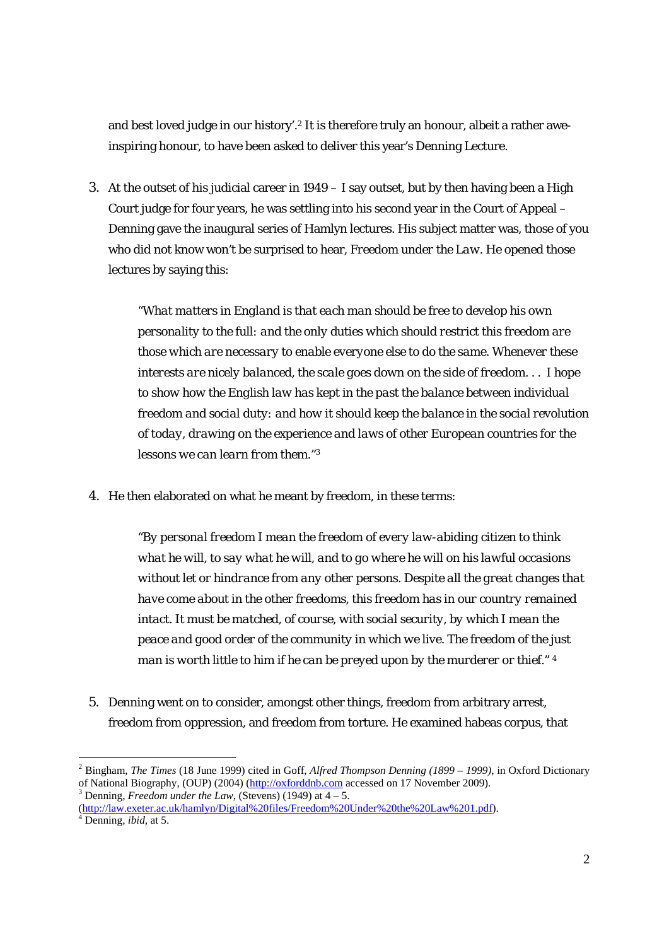and best loved judge in our history'.2 It is therefore truly an honour, albeit a rather aweinspiring honour, to have been asked to deliver this year's Denning Lecture.

3. At the outset of his judicial career in 1949 – I say outset, but by then having been a High Court judge for four years, he was settling into his second year in the Court of Appeal – Denning gave the inaugural series of Hamlyn lectures. His subject matter was, those of you who did not know won't be surprised to hear, *Freedom under the Law*. He opened those lectures by saying this:

"*What matters in England is that each man should be free to develop his own personality to the full: and the only duties which should restrict this freedom are those which are necessary to enable everyone else to do the same. Whenever these interests are nicely balanced, the scale goes down on the side of freedom. . . I hope to show how the English law has kept in the past the balance between individual freedom and social duty: and how it should keep the balance in the social revolution of today, drawing on the experience and laws of other European countries for the lessons we can learn from them.*"3

4. He then elaborated on what he meant by freedom, in these terms:

"*By personal freedom I mean the freedom of every law-abiding citizen to think what he will, to say what he will, and to go where he will on his lawful occasions without let or hindrance from any other persons. Despite all the great changes that have come about in the other freedoms, this freedom has in our country remained*  intact. It must be matched, of course, with social security, by which I mean the *peace and good order of the community in which we live. The freedom of the just man is worth little to him if he can be preyed upon by the murderer or thief*." 4

5. Denning went on to consider, amongst other things, freedom from arbitrary arrest, freedom from oppression, and freedom from torture. He examined habeas corpus, that

<sup>2</sup> Bingham, *The Times* (18 June 1999) cited in Goff, *Alfred Thompson Denning (1899 – 1999)*, in Oxford Dictionary of National Biography, (OUP) (2004) (http://oxforddnb.com accessed on 17 November 2009).

<sup>&</sup>lt;sup>3</sup> Denning, *Freedom under the Law*, (Stevens) (1949) at  $4-5$ .

<sup>(</sup>http://law.exeter.ac.uk/hamlyn/Digital%20files/Freedom%20Under%20the%20Law%201.pdf). 4 Denning, *ibid*, at 5.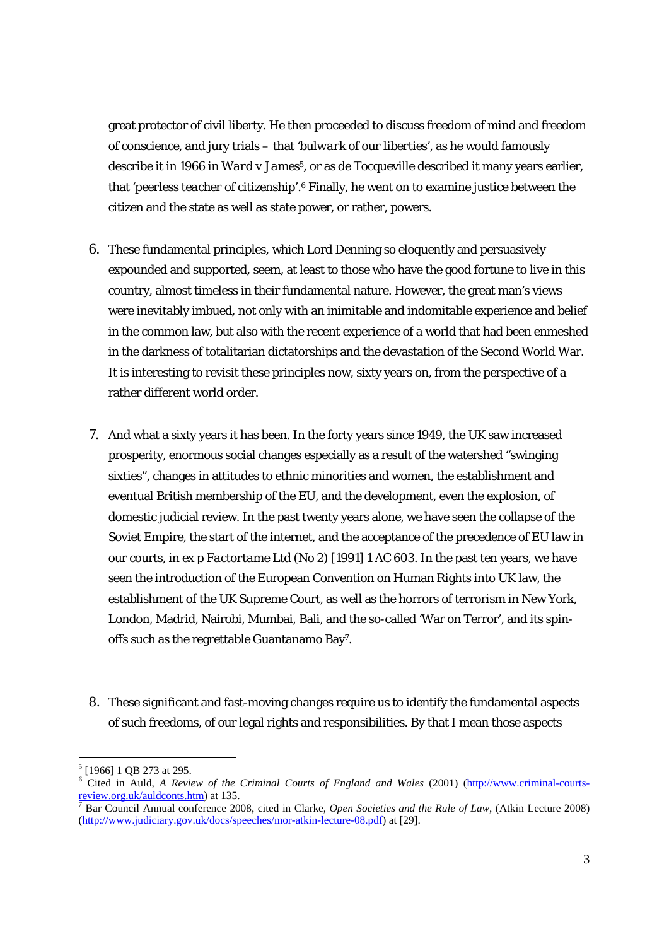great protector of civil liberty. He then proceeded to discuss freedom of mind and freedom of conscience, and jury trials – that '*bulwark of our liberties*', as he would famously describe it in 1966 in *Ward v James*5, or as de Tocqueville described it many years earlier, that '*peerless teacher of citizenship*'*.* 6 Finally, he went on to examine justice between the citizen and the state as well as state power, or rather, powers.

- 6. These fundamental principles, which Lord Denning so eloquently and persuasively expounded and supported, seem, at least to those who have the good fortune to live in this country, almost timeless in their fundamental nature. However, the great man's views were inevitably imbued, not only with an inimitable and indomitable experience and belief in the common law, but also with the recent experience of a world that had been enmeshed in the darkness of totalitarian dictatorships and the devastation of the Second World War. It is interesting to revisit these principles now, sixty years on, from the perspective of a rather different world order.
- 7. And what a sixty years it has been. In the forty years since 1949, the UK saw increased prosperity, enormous social changes especially as a result of the watershed "swinging sixties", changes in attitudes to ethnic minorities and women, the establishment and eventual British membership of the EU, and the development, even the explosion, of domestic judicial review. In the past twenty years alone, we have seen the collapse of the Soviet Empire, the start of the internet, and the acceptance of the precedence of EU law in our courts, in *ex p Factortame Ltd (No 2)* [1991] 1 AC 603. In the past ten years, we have seen the introduction of the European Convention on Human Rights into UK law, the establishment of the UK Supreme Court, as well as the horrors of terrorism in New York, London, Madrid, Nairobi, Mumbai, Bali, and the so-called 'War on Terror', and its spinoffs such as the regrettable Guantanamo Bay7.
- 8. These significant and fast-moving changes require us to identify the fundamental aspects of such freedoms, of our legal rights and responsibilities. By that I mean those aspects

 $<sup>5</sup>$  [1966] 1 QB 273 at 295.</sup>

<sup>&</sup>lt;sup>6</sup> Cited in Auld, *A Review of the Criminal Courts of England and Wales* (2001) (http://www.criminal-courtsreview.org.uk/auldconts.htm) at 135.

Bar Council Annual conference 2008, cited in Clarke, *Open Societies and the Rule of Law*, (Atkin Lecture 2008) (http://www.judiciary.gov.uk/docs/speeches/mor-atkin-lecture-08.pdf) at [29].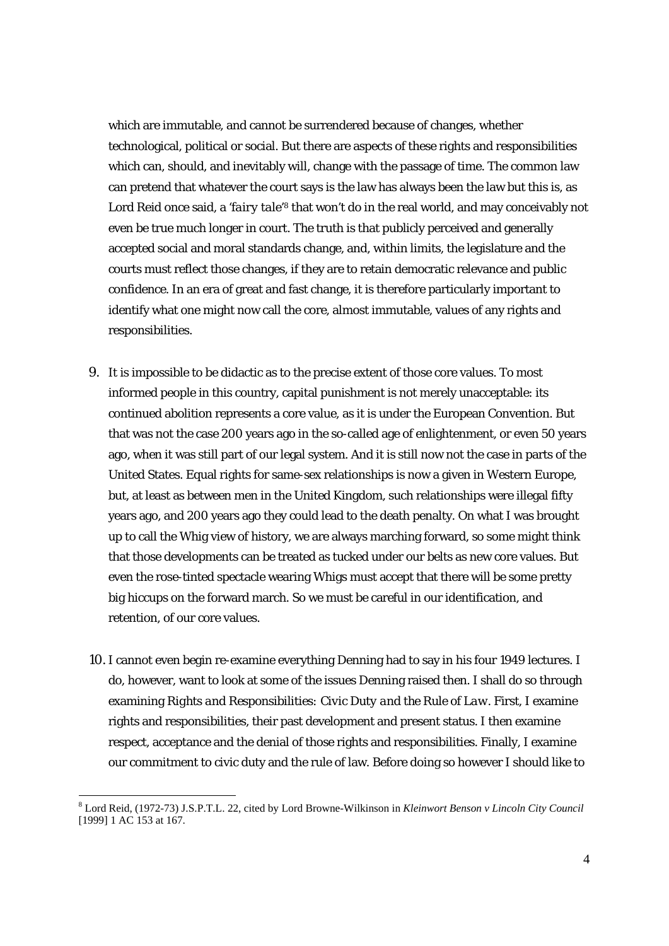which are immutable, and cannot be surrendered because of changes, whether technological, political or social. But there are aspects of these rights and responsibilities which can, should, and inevitably will, change with the passage of time. The common law can pretend that whatever the court says is the law has always been the law but this is, as Lord Reid once said, a '*fairy tale*'<sup>8</sup> that won't do in the real world, and may conceivably not even be true much longer in court. The truth is that publicly perceived and generally accepted social and moral standards change, and, within limits, the legislature and the courts must reflect those changes, if they are to retain democratic relevance and public confidence. In an era of great and fast change, it is therefore particularly important to identify what one might now call the core, almost immutable, values of any rights and responsibilities.

- 9. It is impossible to be didactic as to the precise extent of those core values. To most informed people in this country, capital punishment is not merely unacceptable: its continued abolition represents a core value, as it is under the European Convention. But that was not the case 200 years ago in the so-called age of enlightenment, or even 50 years ago, when it was still part of our legal system. And it is still now not the case in parts of the United States. Equal rights for same-sex relationships is now a given in Western Europe, but, at least as between men in the United Kingdom, such relationships were illegal fifty years ago, and 200 years ago they could lead to the death penalty. On what I was brought up to call the Whig view of history, we are always marching forward, so some might think that those developments can be treated as tucked under our belts as new core values. But even the rose-tinted spectacle wearing Whigs must accept that there will be some pretty big hiccups on the forward march. So we must be careful in our identification, and retention, of our core values.
- 10. I cannot even begin re-examine everything Denning had to say in his four 1949 lectures. I do, however, want to look at some of the issues Denning raised then. I shall do so through examining *Rights and Responsibilities: Civic Duty and the Rule of Law*. First, I examine rights and responsibilities, their past development and present status. I then examine respect, acceptance and the denial of those rights and responsibilities. Finally, I examine our commitment to civic duty and the rule of law. Before doing so however I should like to

 8 Lord Reid, (1972-73) J.S.P.T.L. 22, cited by Lord Browne-Wilkinson in *Kleinwort Benson v Lincoln City Council* [1999] 1 AC 153 at 167.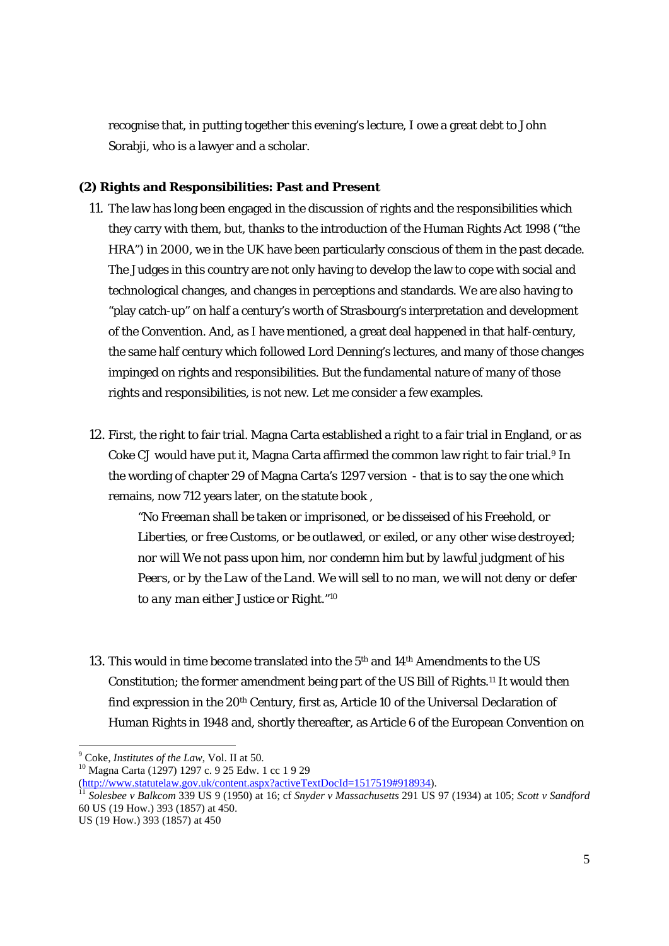recognise that, in putting together this evening's lecture, I owe a great debt to John Sorabji, who is a lawyer and a scholar.

## **(2) Rights and Responsibilities: Past and Present**

- 11. The law has long been engaged in the discussion of rights and the responsibilities which they carry with them, but, thanks to the introduction of the Human Rights Act 1998 ("the HRA") in 2000, we in the UK have been particularly conscious of them in the past decade. The Judges in this country are not only having to develop the law to cope with social and technological changes, and changes in perceptions and standards. We are also having to "play catch-up" on half a century's worth of Strasbourg's interpretation and development of the Convention. And, as I have mentioned, a great deal happened in that half-century, the same half century which followed Lord Denning's lectures, and many of those changes impinged on rights and responsibilities. But the fundamental nature of many of those rights and responsibilities, is not new. Let me consider a few examples.
- 12. First, the right to fair trial. Magna Carta established a right to a fair trial in England, or as Coke CJ would have put it, Magna Carta affirmed the common law right to fair trial.<sup>9</sup> In the wording of chapter 29 of Magna Carta's 1297 version - that is to say the one which remains, now 712 years later, on the statute book ,

"*No Freeman shall be taken or imprisoned, or be disseised of his Freehold, or Liberties, or free Customs, or be outlawed, or exiled, or any other wise destroyed; nor will We not pass upon him, nor condemn him but by lawful judgment of his Peers, or by the Law of the Land. We will sell to no man, we will not deny or defer to any man either Justice or Right*."10

13. This would in time become translated into the 5th and 14th Amendments to the US Constitution; the former amendment being part of the US Bill of Rights.11 It would then find expression in the 20<sup>th</sup> Century, first as, Article 10 of the Universal Declaration of Human Rights in 1948 and, shortly thereafter, as Article 6 of the European Convention on

 $9^9$  Coke, *Institutes of the Law*, Vol. II at 50.

<sup>&</sup>lt;sup>10</sup> Magna Carta (1297) 1297 c. 9 25 Edw. 1 cc 1 9 29

<sup>(</sup>http://www.statutelaw.gov.uk/content.aspx?activeTextDocId=1517519#918934). 11 *Solesbee v Balkcom* 339 US 9 (1950) at 16; cf *Snyder v Massachusetts* 291 US 97 (1934) at 105; *Scott v Sandford* 60 US (19 How.) 393 (1857) at 450.

US (19 How.) 393 (1857) at 450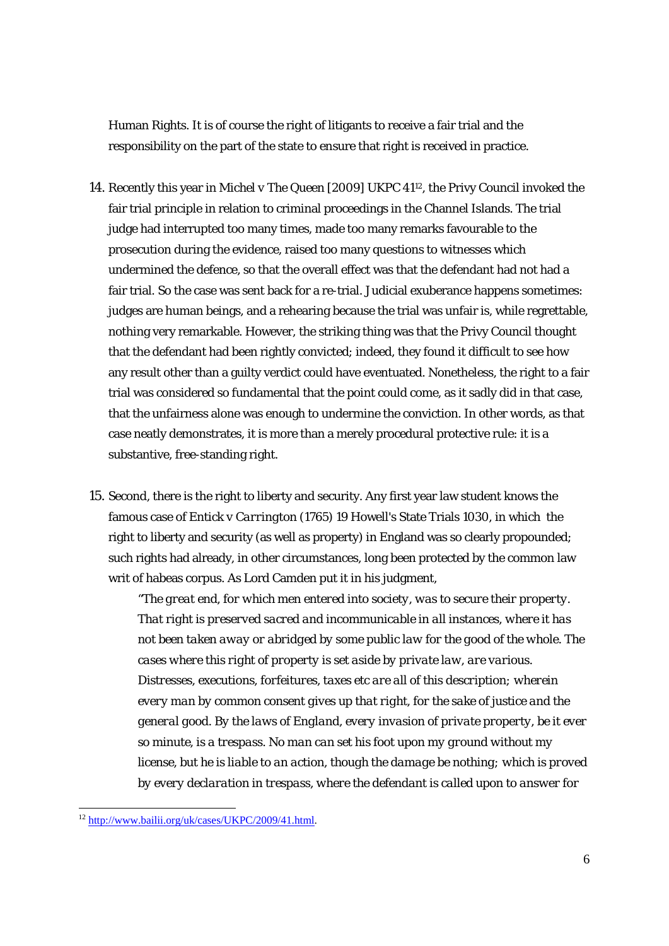Human Rights. It is of course the right of litigants to receive a fair trial and the responsibility on the part of the state to ensure that right is received in practice.

- 14. Recently this year in *Michel v The Queen* [2009] UKPC 4112, the Privy Council invoked the fair trial principle in relation to criminal proceedings in the Channel Islands. The trial judge had interrupted too many times, made too many remarks favourable to the prosecution during the evidence, raised too many questions to witnesses which undermined the defence, so that the overall effect was that the defendant had not had a fair trial. So the case was sent back for a re-trial. Judicial exuberance happens sometimes: judges are human beings, and a rehearing because the trial was unfair is, while regrettable, nothing very remarkable. However, the striking thing was that the Privy Council thought that the defendant had been rightly convicted; indeed, they found it difficult to see how any result other than a guilty verdict could have eventuated. Nonetheless, the right to a fair trial was considered so fundamental that the point could come, as it sadly did in that case, that the unfairness alone was enough to undermine the conviction. In other words, as that case neatly demonstrates, it is more than a merely procedural protective rule: it is a substantive, free-standing right.
- 15. Second, there is the right to liberty and security. Any first year law student knows the famous case of *Entick v Carrington* (1765) 19 Howell's State Trials 1030, in which the right to liberty and security (as well as property) in England was so clearly propounded; such rights had already, in other circumstances, long been protected by the common law writ of habeas corpus. As Lord Camden put it in his judgment,

"*The great end, for which men entered into society, was to secure their property. That right is preserved sacred and incommunicable in all instances, where it has not been taken away or abridged by some public law for the good of the whole. The cases where this right of property is set aside by private law, are various. Distresses, executions, forfeitures, taxes etc are all of this description; wherein every man by common consent gives up that right, for the sake of justice and the general good. By the laws of England, every invasion of private property, be it ever so minute, is a trespass. No man can set his foot upon my ground without my license, but he is liable to an action, though the damage be nothing; which is proved by every declaration in trespass, where the defendant is called upon to answer for* 

<sup>1</sup> <sup>12</sup> http://www.bailii.org/uk/cases/UKPC/2009/41.html.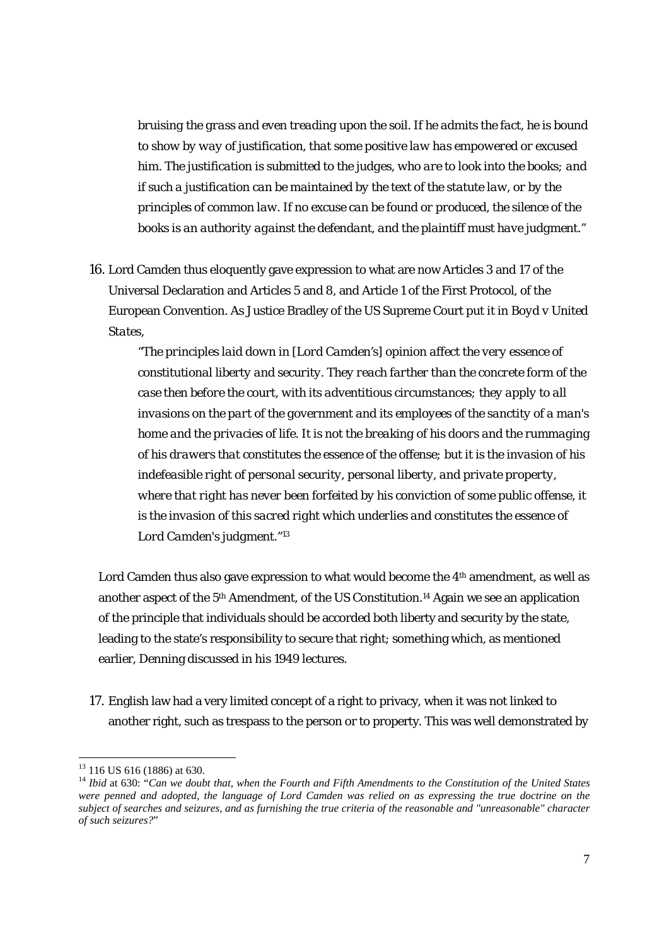*bruising the grass and even treading upon the soil. If he admits the fact, he is bound to show by way of justification, that some positive law has empowered or excused him. The justification is submitted to the judges, who are to look into the books; and if such a justification can be maintained by the text of the statute law, or by the principles of common law. If no excuse can be found or produced, the silence of the books is an authority against the defendant, and the plaintiff must have judgment.*"

16. Lord Camden thus eloquently gave expression to what are now Articles 3 and 17 of the Universal Declaration and Articles 5 and 8, and Article 1 of the First Protocol, of the European Convention. As Justice Bradley of the US Supreme Court put it in *Boyd v United States*,

"*The principles laid down in [Lord Camden's] opinion affect the very essence of constitutional liberty and security. They reach farther than the concrete form of the case then before the court, with its adventitious circumstances; they apply to all invasions on the part of the government and its employees of the sanctity of a man's home and the privacies of life. It is not the breaking of his doors and the rummaging of his drawers that constitutes the essence of the offense; but it is the invasion of his indefeasible right of personal security, personal liberty, and private property, where that right has never been forfeited by his conviction of some public offense, it is the invasion of this sacred right which underlies and constitutes the essence of Lord Camden's judgment*."13

Lord Camden thus also gave expression to what would become the 4th amendment, as well as another aspect of the 5th Amendment, of the US Constitution.14 Again we see an application of the principle that individuals should be accorded both liberty and security by the state, leading to the state's responsibility to secure that right; something which, as mentioned earlier, Denning discussed in his 1949 lectures.

17. English law had a very limited concept of a right to privacy, when it was not linked to another right, such as trespass to the person or to property. This was well demonstrated by

 $13$  116 US 616 (1886) at 630.

<sup>&</sup>lt;sup>14</sup> *Ibid* at 630: "Can we doubt that, when the Fourth and Fifth Amendments to the Constitution of the United States *were penned and adopted, the language of Lord Camden was relied on as expressing the true doctrine on the subject of searches and seizures, and as furnishing the true criteria of the reasonable and "unreasonable" character of such seizures?*"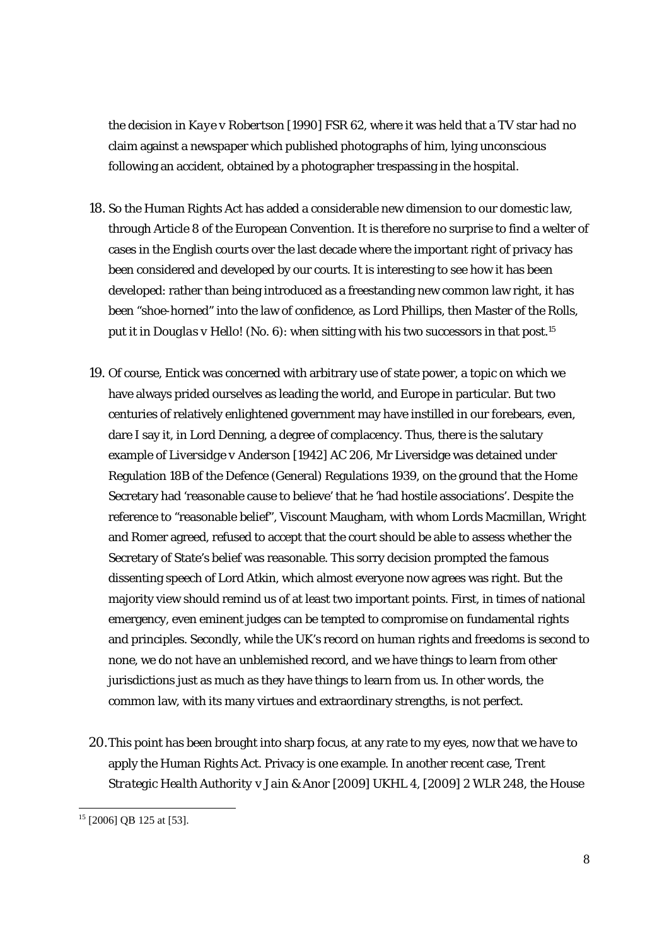the decision in *Kaye v Robertson* [1990] FSR 62, where it was held that a TV star had no claim against a newspaper which published photographs of him, lying unconscious following an accident, obtained by a photographer trespassing in the hospital.

- 18. So the Human Rights Act has added a considerable new dimension to our domestic law, through Article 8 of the European Convention. It is therefore no surprise to find a welter of cases in the English courts over the last decade where the important right of privacy has been considered and developed by our courts. It is interesting to see how it has been developed: rather than being introduced as a freestanding new common law right, it has been "shoe-horned" into the law of confidence, as Lord Phillips, then Master of the Rolls, put it in *Douglas v Hello! (No. 6)*: when sitting with his two successors in that post.15
- 19. Of course, *Entick* was concerned with arbitrary use of state power, a topic on which we have always prided ourselves as leading the world, and Europe in particular. But two centuries of relatively enlightened government may have instilled in our forebears, even, dare I say it, in Lord Denning, a degree of complacency. Thus, there is the salutary example of *Liversidge v Anderson* [1942] AC 206, Mr Liversidge was detained under Regulation 18B of the Defence (General) Regulations 1939, on the ground that the Home Secretary had 'reasonable cause to believe' that he 'had hostile associations'. Despite the reference to "reasonable belief", Viscount Maugham, with whom Lords Macmillan, Wright and Romer agreed, refused to accept that the court should be able to assess whether the Secretary of State's belief was reasonable. This sorry decision prompted the famous dissenting speech of Lord Atkin, which almost everyone now agrees was right. But the majority view should remind us of at least two important points. First, in times of national emergency, even eminent judges can be tempted to compromise on fundamental rights and principles. Secondly, while the UK's record on human rights and freedoms is second to none, we do not have an unblemished record, and we have things to learn from other jurisdictions just as much as they have things to learn from us. In other words, the common law, with its many virtues and extraordinary strengths, is not perfect.
- 20.This point has been brought into sharp focus, at any rate to my eyes, now that we have to apply the Human Rights Act. Privacy is one example. In another recent case*, Trent Strategic Health Authority v Jain & Anor* [2009] UKHL 4, [2009] 2 WLR 248, the House

 $15$  [2006] QB 125 at [53].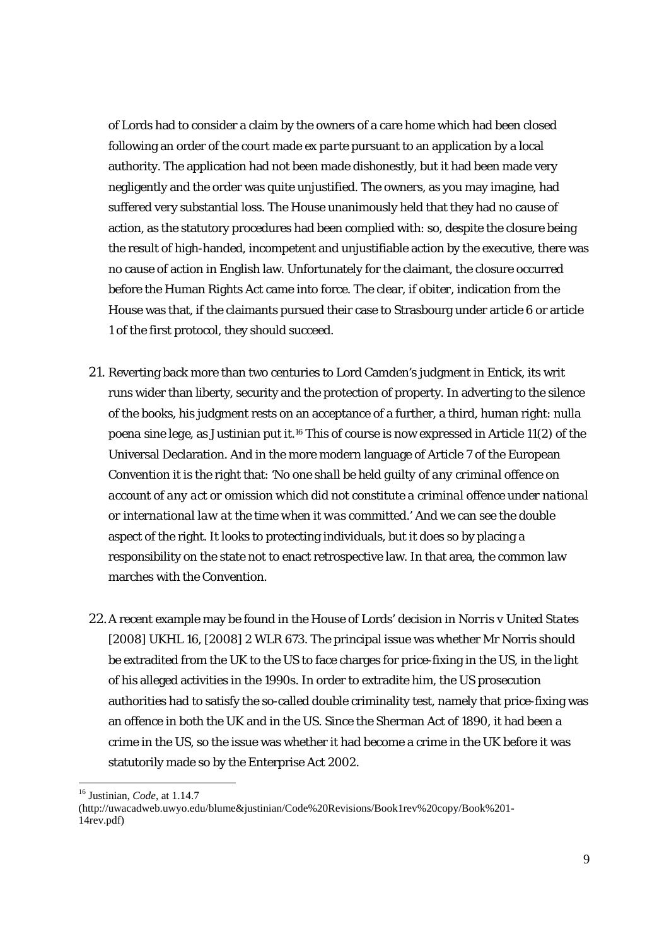of Lords had to consider a claim by the owners of a care home which had been closed following an order of the court made *ex parte* pursuant to an application by a local authority. The application had not been made dishonestly, but it had been made very negligently and the order was quite unjustified. The owners, as you may imagine, had suffered very substantial loss. The House unanimously held that they had no cause of action, as the statutory procedures had been complied with: so, despite the closure being the result of high-handed, incompetent and unjustifiable action by the executive, there was no cause of action in English law. Unfortunately for the claimant, the closure occurred before the Human Rights Act came into force. The clear, *if obiter*, indication from the House was that, if the claimants pursued their case to Strasbourg under article 6 or article 1 of the first protocol, they should succeed.

- 21. Reverting back more than two centuries to Lord Camden's judgment in *Entick*, its writ runs wider than liberty, security and the protection of property. In adverting to the silence of the books, his judgment rests on an acceptance of a further, a third, human right: *nulla poena sine lege*, as Justinian put it.16 This of course is now expressed in Article 11(2) of the Universal Declaration. And in the more modern language of Article 7 of the European Convention it is the right that: '*No one shall be held guilty of any criminal offence on account of any act or omission which did not constitute a criminal offence under national or international law at the time when it was committed*.' And we can see the double aspect of the right. It looks to protecting individuals, but it does so by placing a responsibility on the state not to enact retrospective law. In that area, the common law marches with the Convention.
- 22.A recent example may be found in the House of Lords' decision in *Norris v United States*  [2008] UKHL 16, [2008] 2 WLR 673. The principal issue was whether Mr Norris should be extradited from the UK to the US to face charges for price-fixing in the US, in the light of his alleged activities in the 1990s. In order to extradite him, the US prosecution authorities had to satisfy the so-called double criminality test, namely that price-fixing was an offence in both the UK and in the US. Since the Sherman Act of 1890, it had been a crime in the US, so the issue was whether it had become a crime in the UK before it was statutorily made so by the Enterprise Act 2002.

-

(http://uwacadweb.uwyo.edu/blume&justinian/Code%20Revisions/Book1rev%20copy/Book%201- 14rev.pdf)

<sup>16</sup> Justinian, *Code*, at 1.14.7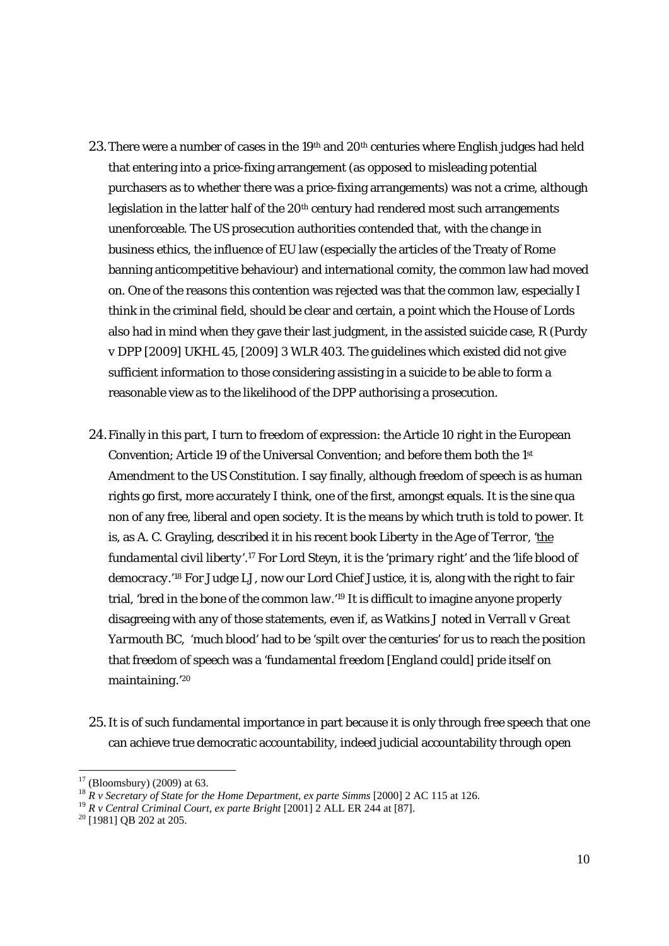- 23. There were a number of cases in the 19<sup>th</sup> and  $20<sup>th</sup>$  centuries where English judges had held that entering into a price-fixing arrangement (as opposed to misleading potential purchasers as to whether there was a price-fixing arrangements) was not a crime, although legislation in the latter half of the 20<sup>th</sup> century had rendered most such arrangements unenforceable. The US prosecution authorities contended that, with the change in business ethics, the influence of EU law (especially the articles of the Treaty of Rome banning anticompetitive behaviour) and international comity, the common law had moved on. One of the reasons this contention was rejected was that the common law, especially I think in the criminal field, should be clear and certain, a point which the House of Lords also had in mind when they gave their last judgment, in the assisted suicide case, *R (Purdy v DPP* [2009] UKHL 45, [2009] 3 WLR 403. The guidelines which existed did not give sufficient information to those considering assisting in a suicide to be able to form a reasonable view as to the likelihood of the DPP authorising a prosecution.
- 24.Finally in this part, I turn to freedom of expression: the Article 10 right in the European Convention; Article 19 of the Universal Convention; and before them both the 1st Amendment to the US Constitution. I say finally, although freedom of speech is as human rights go first, more accurately I think, one of the first, amongst equals. It is the *sine qua non* of any free, liberal and open society. It is the means by which truth is told to power. It is, as A. C. Grayling, described it in his recent book *Liberty in the Age of Terror*, '*the fundamental civil liberty*'.17 For Lord Steyn, it is the '*primary right*' and the '*life blood of democracy*.'18 For Judge LJ, now our Lord Chief Justice, it is, along with the right to fair trial, '*bred in the bone of the common law*.'19 It is difficult to imagine anyone properly disagreeing with any of those statements, even if, as Watkins J noted in *Verrall v Great Yarmouth BC*, '*much blood*' had to be '*spilt over the centuries*' for us to reach the position that freedom of speech was a '*fundamental freedom [England could] pride itself on maintaining.*' 20
- 25.It is of such fundamental importance in part because it is only through free speech that one can achieve true democratic accountability, indeed judicial accountability through open

<sup>&</sup>lt;sup>17</sup> (Bloomsbury) (2009) at 63.<br><sup>18</sup>  $R$  *v* Secretary of State for the Home Department, ex parte Simms [2000] 2 AC 115 at 126.

<sup>&</sup>lt;sup>19</sup> *R v Central Criminal Court, ex parte Bright* [2001] 2 ALL ER 244 at [87].<br><sup>20</sup> [1981] QB 202 at 205.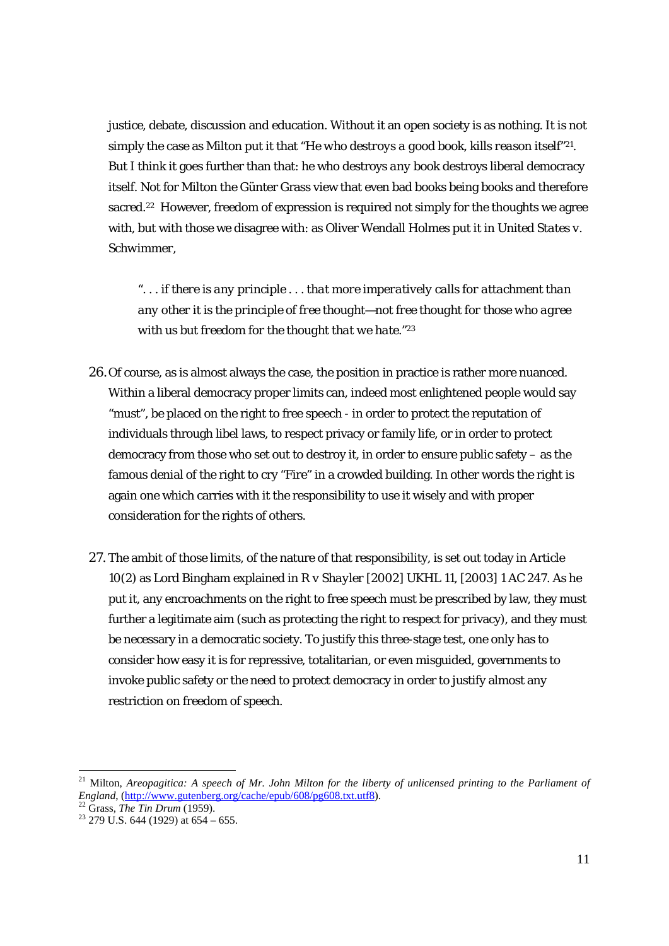justice, debate, discussion and education. Without it an open society is as nothing. It is not simply the case as Milton put it that "*He who destroys a good book, kills reason itself*"21. But I think it goes further than that: he who destroys *any* book destroys liberal democracy itself. Not for Milton the Günter Grass view that even bad books being books and therefore sacred.<sup>22</sup> However, freedom of expression is required not simply for the thoughts we agree with, but with those we disagree with: as Oliver Wendall Holmes put it in *United States v. Schwimmer*,

"*. . . if there is any principle . . . that more imperatively calls for attachment than any other it is the principle of free thought—not free thought for those who agree with us but freedom for the thought that we hate.*"23

- 26.Of course, as is almost always the case, the position in practice is rather more nuanced. Within a liberal democracy proper limits can, indeed most enlightened people would say "must", be placed on the right to free speech - in order to protect the reputation of individuals through libel laws, to respect privacy or family life, or in order to protect democracy from those who set out to destroy it, in order to ensure public safety – as the famous denial of the right to cry "Fire" in a crowded building. In other words the right is again one which carries with it the responsibility to use it wisely and with proper consideration for the rights of others.
- 27. The ambit of those limits, of the nature of that responsibility, is set out today in Article 10(2) as Lord Bingham explained in *R v Shayler* [2002] UKHL 11, [2003] 1 AC 247. As he put it, any encroachments on the right to free speech must be prescribed by law, they must further a legitimate aim (such as protecting the right to respect for privacy), and they must be necessary in a democratic society. To justify this three-stage test, one only has to consider how easy it is for repressive, totalitarian, or even misguided, governments to invoke public safety or the need to protect democracy in order to justify almost any restriction on freedom of speech.

<sup>&</sup>lt;sup>21</sup> Milton, *Areopagitica: A speech of Mr. John Milton for the liberty of unlicensed printing to the Parliament of England*, (http://www.gutenberg.org/cache/epub/608/pg608.txt.utf8).<br>
<sup>22</sup> Grass, *The Tin Drum* (1959).<br>
<sup>23</sup> 279 U.S. 644 (1929) at 654 – 655.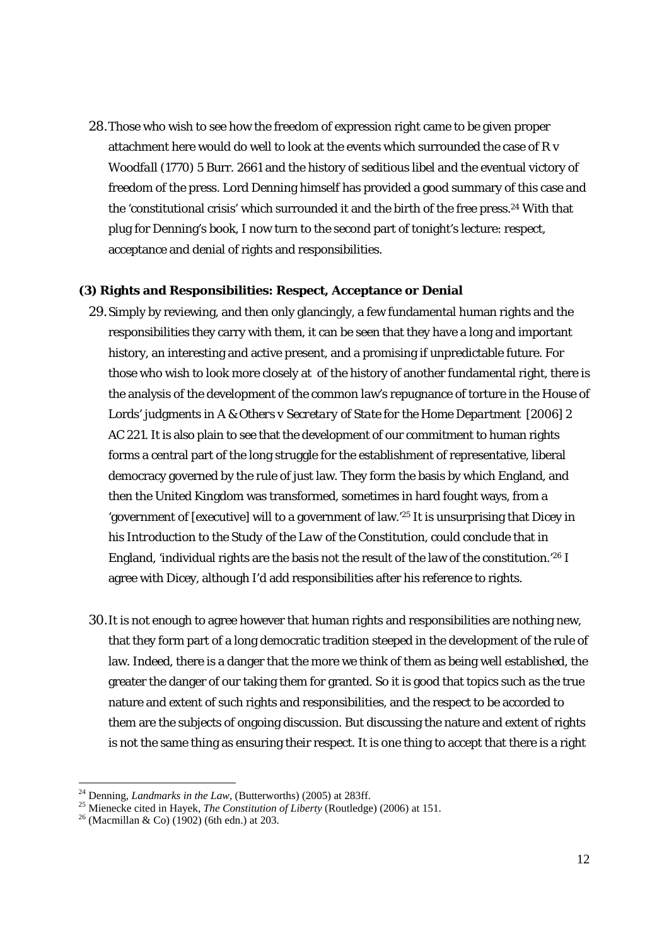28.Those who wish to see how the freedom of expression right came to be given proper attachment here would do well to look at the events which surrounded the case of *R v Woodfall* (1770) 5 Burr. 2661 and the history of seditious libel and the eventual victory of freedom of the press. Lord Denning himself has provided a good summary of this case and the 'constitutional crisis' which surrounded it and the birth of the free press.24 With that plug for Denning's book, I now turn to the second part of tonight's lecture: respect, acceptance and denial of rights and responsibilities.

#### **(3) Rights and Responsibilities: Respect, Acceptance or Denial**

- 29.Simply by reviewing, and then only glancingly, a few fundamental human rights and the responsibilities they carry with them, it can be seen that they have a long and important history, an interesting and active present, and a promising if unpredictable future. For those who wish to look more closely at of the history of another fundamental right, there is the analysis of the development of the common law's repugnance of torture in the House of Lords' judgments in *A & Others v Secretary of State for the Home Department* [2006] 2 AC 221. It is also plain to see that the development of our commitment to human rights forms a central part of the long struggle for the establishment of representative, liberal democracy governed by the rule of just law. They form the basis by which England, and then the United Kingdom was transformed, sometimes in hard fought ways, from a 'government of [executive] will to a government of law.'25 It is unsurprising that Dicey in his *Introduction to the Study of the Law of the Constitution*, could conclude that in England, 'individual rights are the basis not the result of the law of the constitution.'26 I agree with Dicey, although I'd add responsibilities after his reference to rights.
- 30.It is not enough to agree however that human rights and responsibilities are nothing new, that they form part of a long democratic tradition steeped in the development of the rule of law. Indeed, there is a danger that the more we think of them as being well established, the greater the danger of our taking them for granted. So it is good that topics such as the true nature and extent of such rights and responsibilities, and the respect to be accorded to them are the subjects of ongoing discussion. But discussing the nature and extent of rights is not the same thing as ensuring their respect. It is one thing to accept that there is a right

 $^{24}$  Denning, *Landmarks in the Law*, (Butterworths) (2005) at 283ff.

<sup>25</sup> Mienecke cited in Hayek, *The Constitution of Liberty* (Routledge) (2006) at 151.<br><sup>25</sup> Mienecke cited in Hayek, *The Constitution of Liberty* (Routledge) (2006) at 151.<br><sup>26</sup> (Macmillan & Co) (1902) (6th edn.) at 203.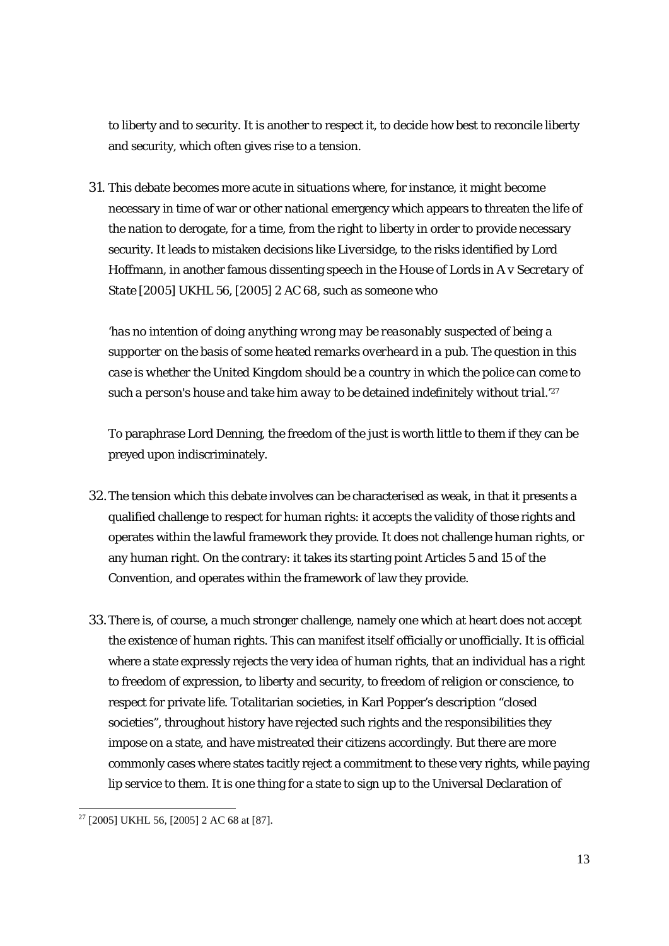to liberty and to security. It is another to respect it, to decide how best to reconcile liberty and security, which often gives rise to a tension.

31. This debate becomes more acute in situations where, for instance, it might become necessary in time of war or other national emergency which appears to threaten the life of the nation to derogate, for a time, from the right to liberty in order to provide necessary security. It leads to mistaken decisions like *Liversidge*, to the risks identified by Lord Hoffmann, in another famous dissenting speech in the House of Lords in *A v Secretary of State* [2005] UKHL 56, [2005] 2 AC 68, such as someone who

'*has no intention of doing anything wrong may be reasonably suspected of being a supporter on the basis of some heated remarks overheard in a pub. The question in this case is whether the United Kingdom should be a country in which the police can come to such a person's house and take him away to be detained indefinitely without trial.*' 27

To paraphrase Lord Denning, the freedom of the just is worth little to them if they can be preyed upon indiscriminately.

- 32.The tension which this debate involves can be characterised as weak, in that it presents a qualified challenge to respect for human rights: it accepts the validity of those rights and operates within the lawful framework they provide. It does not challenge human rights, or any human right. On the contrary: it takes its starting point Articles 5 and 15 of the Convention, and operates within the framework of law they provide.
- 33.There is, of course, a much stronger challenge, namely one which at heart does not accept the existence of human rights. This can manifest itself officially or unofficially. It is official where a state expressly rejects the very idea of human rights, that an individual has a right to freedom of expression, to liberty and security, to freedom of religion or conscience, to respect for private life. Totalitarian societies, in Karl Popper's description "closed societies", throughout history have rejected such rights and the responsibilities they impose on a state, and have mistreated their citizens accordingly. But there are more commonly cases where states tacitly reject a commitment to these very rights, while paying lip service to them. It is one thing for a state to sign up to the Universal Declaration of

<sup>1</sup>  $27$  [2005] UKHL 56, [2005] 2 AC 68 at [87].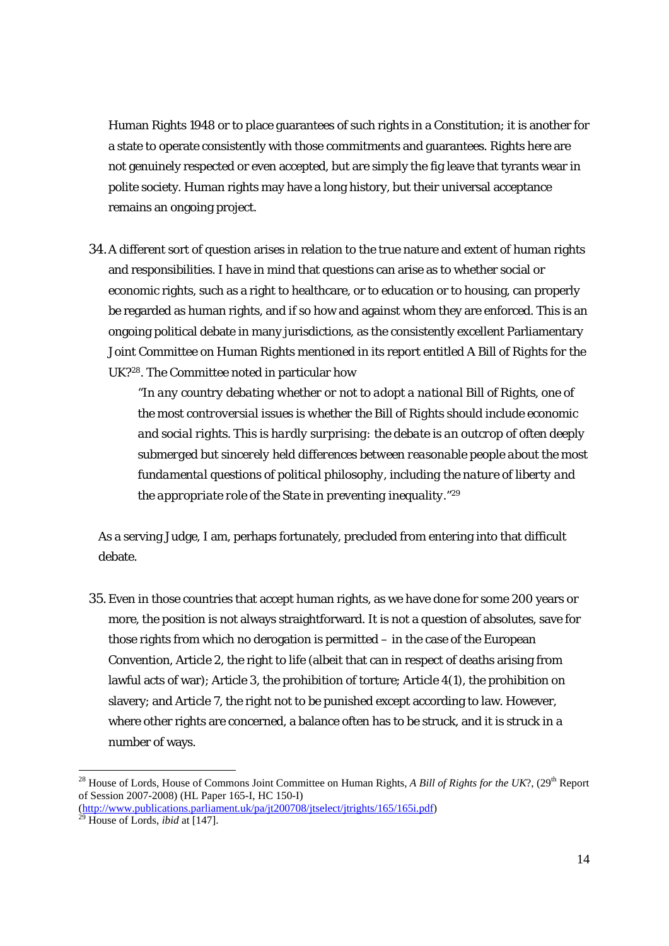Human Rights 1948 or to place guarantees of such rights in a Constitution; it is another for a state to operate consistently with those commitments and guarantees. Rights here are not genuinely respected or even accepted, but are simply the fig leave that tyrants wear in polite society. Human rights may have a long history, but their universal acceptance remains an ongoing project.

34.A different sort of question arises in relation to the true nature and extent of human rights and responsibilities. I have in mind that questions can arise as to whether social or economic rights, such as a right to healthcare, or to education or to housing, can properly be regarded as human rights, and if so how and against whom they are enforced. This is an ongoing political debate in many jurisdictions, as the consistently excellent Parliamentary Joint Committee on Human Rights mentioned in its report entitled *A Bill of Rights for the UK?*28. The Committee noted in particular how

"*In any country debating whether or not to adopt a national Bill of Rights, one of the most controversial issues is whether the Bill of Rights should include economic and social rights. This is hardly surprising: the debate is an outcrop of often deeply submerged but sincerely held differences between reasonable people about the most fundamental questions of political philosophy, including the nature of liberty and the appropriate role of the State in preventing inequality.*"29

As a serving Judge, I am, perhaps fortunately, precluded from entering into that difficult debate.

35.Even in those countries that accept human rights, as we have done for some 200 years or more, the position is not always straightforward. It is not a question of absolutes, save for those rights from which no derogation is permitted – in the case of the European Convention, Article 2, the right to life (albeit that can in respect of deaths arising from lawful acts of war); Article 3, the prohibition of torture; Article 4(1), the prohibition on slavery; and Article 7, the right not to be punished except according to law. However, where other rights are concerned, a balance often has to be struck, and it is struck in a number of ways.

<sup>&</sup>lt;sup>28</sup> House of Lords, House of Commons Joint Committee on Human Rights, *A Bill of Rights for the UK*?, (29<sup>th</sup> Report of Session 2007-2008) (HL Paper 165-I, HC 150-I)

<sup>(</sup>http://www.publications.parliament.uk/pa/jt200708/jtselect/jtrights/165/165i.pdf) 29 House of Lords, *ibid* at [147].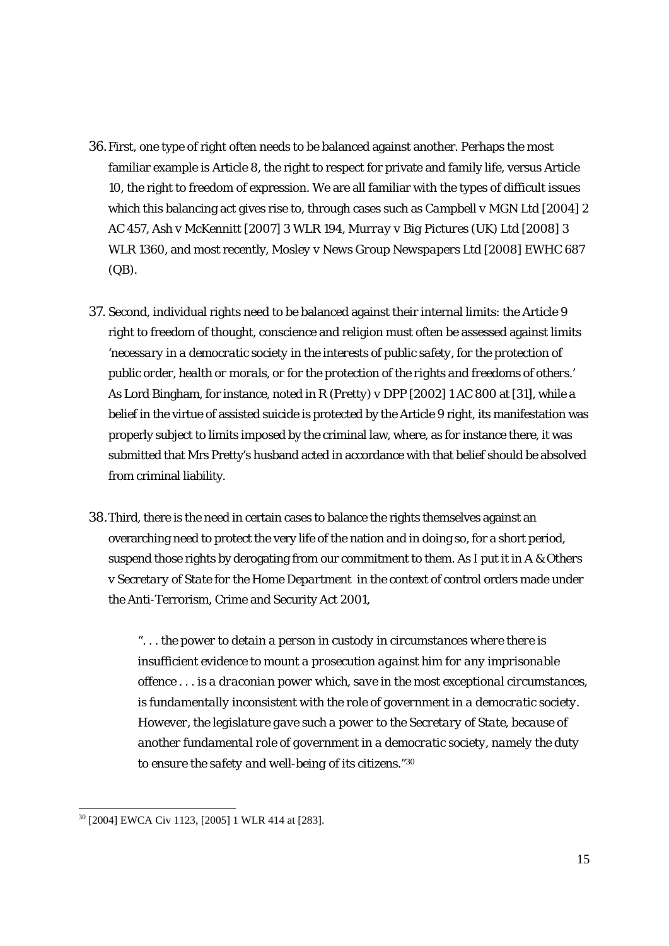- 36.First, one type of right often needs to be balanced against another. Perhaps the most familiar example is Article 8, the right to respect for private and family life, versus Article 10, the right to freedom of expression. We are all familiar with the types of difficult issues which this balancing act gives rise to, through cases such as *Campbell v MGN Ltd* [2004] 2 AC 457, *Ash v McKennitt* [2007] 3 WLR 194, *Murray v Big Pictures (UK) Ltd* [2008] 3 WLR 1360, and most recently, *Mosley v News Group Newspapers Ltd* [2008] EWHC 687 (QB).
- 37. Second, individual rights need to be balanced against their internal limits: the Article 9 right to freedom of thought, conscience and religion must often be assessed against limits '*necessary in a democratic society in the interests of public safety, for the protection of public order, health or morals, or for the protection of the rights and freedoms of others*.' As Lord Bingham, for instance, noted in *R (Pretty) v DPP* [2002] 1 AC 800 at [31], while a belief in the virtue of assisted suicide is protected by the Article 9 right, its manifestation was properly subject to limits imposed by the criminal law, where, as for instance there, it was submitted that Mrs Pretty's husband acted in accordance with that belief should be absolved from criminal liability.
- 38.Third, there is the need in certain cases to balance the rights themselves against an overarching need to protect the very life of the nation and in doing so, for a short period, suspend those rights by derogating from our commitment to them. As I put it in *A & Others v Secretary of State for the Home Department* in the context of control orders made under the Anti-Terrorism, Crime and Security Act 2001,

"*. . . the power to detain a person in custody in circumstances where there is insufficient evidence to mount a prosecution against him for any imprisonable offence . . . is a draconian power which, save in the most exceptional circumstances, is fundamentally inconsistent with the role of government in a democratic society. However, the legislature gave such a power to the Secretary of State, because of another fundamental role of government in a democratic society, namely the duty to ensure the safety and well-being of its citizens.*"30

<sup>30 [2004]</sup> EWCA Civ 1123, [2005] 1 WLR 414 at [283].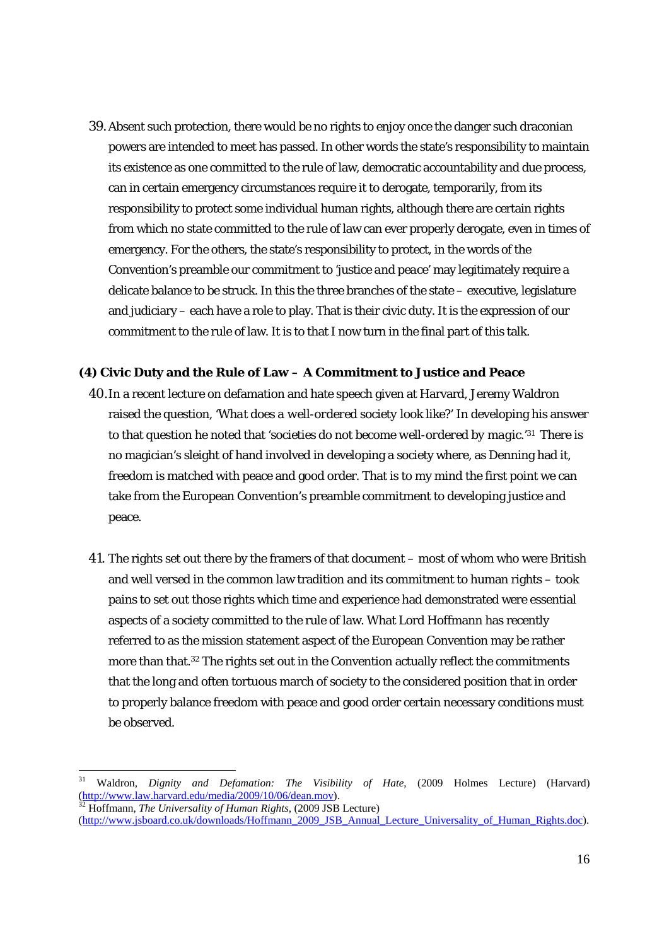39.Absent such protection, there would be no rights to enjoy once the danger such draconian powers are intended to meet has passed. In other words the state's responsibility to maintain its existence as one committed to the rule of law, democratic accountability and due process, can in certain emergency circumstances require it to derogate, temporarily, from its responsibility to protect some individual human rights, although there are certain rights from which no state committed to the rule of law can ever properly derogate, even in times of emergency. For the others, the state's responsibility to protect, in the words of the Convention's preamble our commitment to '*justice and peace*' may legitimately require a delicate balance to be struck. In this the three branches of the state – executive, legislature and judiciary – each have a role to play. That is their civic duty. It is the expression of our commitment to the rule of law. It is to that I now turn in the final part of this talk.

#### **(4) Civic Duty and the Rule of Law – A Commitment to Justice and Peace**

- 40.In a recent lecture on defamation and hate speech given at Harvard, Jeremy Waldron raised the question, '*What does a well-ordered society look like?*' In developing his answer to that question he noted that '*societies do not become well-ordered by magic.*' 31 There is no magician's sleight of hand involved in developing a society where, as Denning had it, freedom is matched with peace and good order. That is to my mind the first point we can take from the European Convention's preamble commitment to developing justice and peace.
- 41. The rights set out there by the framers of that document most of whom who were British and well versed in the common law tradition and its commitment to human rights – took pains to set out those rights which time and experience had demonstrated were essential aspects of a society committed to the rule of law. What Lord Hoffmann has recently referred to as the mission statement aspect of the European Convention may be rather more than that.32 The rights set out in the Convention actually reflect the commitments that the long and often tortuous march of society to the considered position that in order to properly balance freedom with peace and good order certain necessary conditions must be observed.

<sup>31</sup> Waldron, *Dignity and Defamation: The Visibility of Hate*, (2009 Holmes Lecture) (Harvard) (http://www.law.harvard.edu/media/2009/10/06/dean.mov). 32 Hoffmann, *The Universality of Human Rights*, (2009 JSB Lecture)

<sup>(</sup>http://www.isboard.co.uk/downloads/Hoffmann\_2009\_JSB\_Annual\_Lecture\_Universality\_of\_Human\_Rights.doc).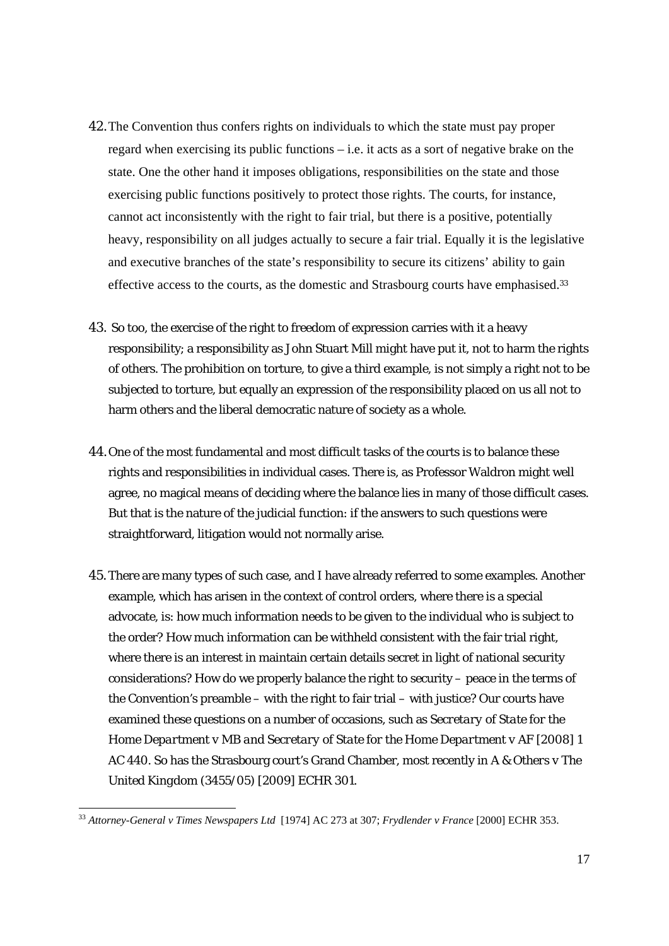- 42.The Convention thus confers rights on individuals to which the state must pay proper regard when exercising its public functions – i.e. it acts as a sort of negative brake on the state. One the other hand it imposes obligations, responsibilities on the state and those exercising public functions positively to protect those rights. The courts, for instance, cannot act inconsistently with the right to fair trial, but there is a positive, potentially heavy, responsibility on all judges actually to secure a fair trial. Equally it is the legislative and executive branches of the state's responsibility to secure its citizens' ability to gain effective access to the courts, as the domestic and Strasbourg courts have emphasised.<sup>33</sup>
- 43. So too, the exercise of the right to freedom of expression carries with it a heavy responsibility; a responsibility as John Stuart Mill might have put it, not to harm the rights of others. The prohibition on torture, to give a third example, is not simply a right not to be subjected to torture, but equally an expression of the responsibility placed on us all not to harm others and the liberal democratic nature of society as a whole.
- 44.One of the most fundamental and most difficult tasks of the courts is to balance these rights and responsibilities in individual cases. There is, as Professor Waldron might well agree, no magical means of deciding where the balance lies in many of those difficult cases. But that is the nature of the judicial function: if the answers to such questions were straightforward, litigation would not normally arise.
- 45.There are many types of such case, and I have already referred to some examples. Another example, which has arisen in the context of control orders, where there is a special advocate, is: how much information needs to be given to the individual who is subject to the order? How much information can be withheld consistent with the fair trial right, where there is an interest in maintain certain details secret in light of national security considerations? How do we properly balance the right to security – peace in the terms of the Convention's preamble – with the right to fair trial – with justice? Our courts have examined these questions on a number of occasions, such as *Secretary of State for the Home Department v MB and Secretary of State for the Home Department v AF* [2008] 1 AC 440. So has the Strasbourg court's Grand Chamber, most recently in *A & Others v The United Kingdom* (3455/05) [2009] ECHR 301.

<sup>33</sup> *Attorney-General v Times Newspapers Ltd* [1974] AC 273 at 307; *Frydlender v France* [2000] ECHR 353.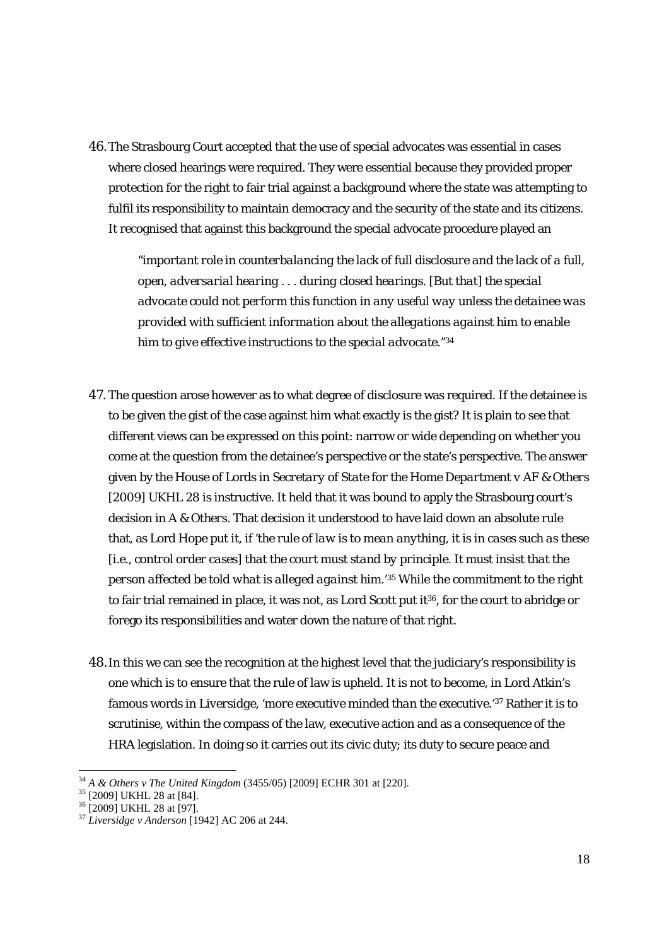46.The Strasbourg Court accepted that the use of special advocates was essential in cases where closed hearings were required. They were essential because they provided proper protection for the right to fair trial against a background where the state was attempting to fulfil its responsibility to maintain democracy and the security of the state and its citizens. It recognised that against this background the special advocate procedure played an

"*important role in counterbalancing the lack of full disclosure and the lack of a full, open, adversarial hearing . . . during closed hearings. [But that] the special advocate could not perform this function in any useful way unless the detainee was provided with sufficient information about the allegations against him to enable him to give effective instructions to the special advocate.*"34

- 47. The question arose however as to what degree of disclosure was required. If the detainee is to be given the gist of the case against him what exactly is the gist? It is plain to see that different views can be expressed on this point: narrow or wide depending on whether you come at the question from the detainee's perspective or the state's perspective. The answer given by the House of Lords in *Secretary of State for the Home Department v AF & Others* [2009] UKHL 28 is instructive. It held that it was bound to apply the Strasbourg court's decision in *A & Others*. That decision it understood to have laid down an absolute rule that, as Lord Hope put it, if '*the rule of law is to mean anything, it is in cases such as these [i.e., control order cases] that the court must stand by principle. It must insist that the person affected be told what is alleged against him.*' 35 While the commitment to the right to fair trial remained in place, it was not, as Lord Scott put it<sup>36</sup>, for the court to abridge or forego its responsibilities and water down the nature of that right.
- 48.In this we can see the recognition at the highest level that the judiciary's responsibility is one which is to ensure that the rule of law is upheld. It is not to become, in Lord Atkin's famous words in *Liversidge*, '*more executive minded than the executive.*' 37 Rather it is to scrutinise, within the compass of the law, executive action and as a consequence of the HRA legislation. In doing so it carries out its civic duty; its duty to secure peace and

<sup>&</sup>lt;sup>34</sup> A & Others v The United Kingdom (3455/05) [2009] ECHR 301 at [220].

 $^{35}$  [2009] UKHL 28 at [84].<br> $^{36}$  [2009] UKHL 28 at [97].

<sup>37</sup> *Liversidge v Anderson* [1942] AC 206 at 244.